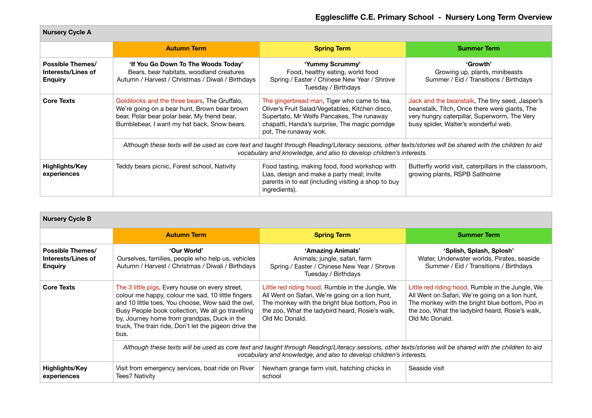| <b>Nursery Cycle A</b>                                   |                                                                                                                                                                                                                                 |                                                                                                                                                                                                                        |                                                                                                                                                                                          |
|----------------------------------------------------------|---------------------------------------------------------------------------------------------------------------------------------------------------------------------------------------------------------------------------------|------------------------------------------------------------------------------------------------------------------------------------------------------------------------------------------------------------------------|------------------------------------------------------------------------------------------------------------------------------------------------------------------------------------------|
|                                                          | <b>Autumn Term</b>                                                                                                                                                                                                              | <b>Spring Term</b>                                                                                                                                                                                                     | <b>Summer Term</b>                                                                                                                                                                       |
| Possible Themes/<br>Interests/Lines of<br><b>Enguiry</b> | 'If You Go Down To The Woods Today'<br>Bears, bear habitats, woodland creatures<br>Autumn / Harvest / Christmas / Diwali / Birthdays                                                                                            | 'Yummy Scrummy'<br>Food, healthy eating, world food<br>Spring / Easter / Chinese New Year / Shrove<br>Tuesday / Birthdays                                                                                              | 'Growth'<br>Growing up, plants, minibeasts<br>Summer / Eid / Transitions / Birthdays                                                                                                     |
| <b>Core Texts</b>                                        | Goldilocks and the three bears, The Gruffalo,<br>We're going on a bear hunt, Brown bear brown<br>bear, Polar bear polar bear, My friend bear,<br>Bumblebear, I want my hat back, Snow bears.                                    | The gingerbread man, Tiger who came to tea,<br>Oliver's Fruit Salad/Vegetables, Kitchen disco,<br>Supertato, Mr Wolfs Pancakes, The runaway<br>chapatti, Handa's surprise, The magic porridge<br>pot, The runaway wok. | Jack and the beanstalk. The tiny seed, Jasper's<br>beanstalk, Titch, Once there were giants, The<br>very hungry caterpillar, Superworm, The Very<br>busy spider, Walter's wonderful web. |
|                                                          | Although these texts will be used as core text and taught through Reading/Literacy sessions, other texts/stories will be shared with the children to aid<br>vocabulary and knowledge, and also to develop children's interests. |                                                                                                                                                                                                                        |                                                                                                                                                                                          |
| Highlights/Key<br>experiences                            | Teddy bears picnic, Forest school, Nativity                                                                                                                                                                                     | Food tasting, making food, food workshop with<br>Lias, design and make a party meal; invite<br>parents in to eat (including visiting a shop to buy<br>ingredients).                                                    | Butterfly world visit, caterpillars in the classroom,<br>growing plants, RSPB Saltholme                                                                                                  |

| <b>Nursery Cycle B</b>                                   |                                                                                                                                                                                                                                                                                                                                |                                                                                                                                                                                                                            |                                                                                                                                                                                                                            |
|----------------------------------------------------------|--------------------------------------------------------------------------------------------------------------------------------------------------------------------------------------------------------------------------------------------------------------------------------------------------------------------------------|----------------------------------------------------------------------------------------------------------------------------------------------------------------------------------------------------------------------------|----------------------------------------------------------------------------------------------------------------------------------------------------------------------------------------------------------------------------|
|                                                          | <b>Autumn Term</b>                                                                                                                                                                                                                                                                                                             | <b>Spring Term</b>                                                                                                                                                                                                         | <b>Summer Term</b>                                                                                                                                                                                                         |
| Possible Themes/<br>Interests/Lines of<br><b>Enguiry</b> | 'Our World'<br>Ourselves, families, people who help us, vehicles<br>Autumn / Harvest / Christmas / Diwali / Birthdays                                                                                                                                                                                                          | 'Amazing Animals'<br>Animals; jungle, safari, farm<br>Spring / Easter / Chinese New Year / Shrove<br>Tuesday / Birthdays                                                                                                   | 'Splish, Splash, Splosh'<br>Water, Underwater worlds, Pirates, seaside<br>Summer / Eid / Transitions / Birthdays                                                                                                           |
| <b>Core Texts</b>                                        | The 3 little pigs, Every house on every street,<br>colour me happy, colour me sad, 10 little fingers<br>and 10 little toes, You choose, Wow said the owl,<br>Busy People book collection, We all go travelling<br>by, Journey home from grandpas, Duck in the<br>truck, The train ride, Don't let the pigeon drive the<br>bus. | Little red riding hood, Rumble in the Jungle, We<br>All Went on Safari, We're going on a lion hunt,<br>The monkey with the bright blue bottom, Poo in<br>the zoo, What the ladybird heard, Rosie's walk,<br>Old Mc Donald. | Little red riding hood, Rumble in the Jungle, We<br>All Went on Safari, We're going on a lion hunt,<br>The monkey with the bright blue bottom, Poo in<br>the zoo, What the ladybird heard, Rosie's walk,<br>Old Mc Donald. |
|                                                          | Although these texts will be used as core text and taught through Reading/Literacy sessions, other texts/stories will be shared with the children to aid<br>vocabulary and knowledge, and also to develop children's interests.                                                                                                |                                                                                                                                                                                                                            |                                                                                                                                                                                                                            |
| Highlights/Key<br>experiences                            | Visit from emergency services, boat ride on River<br>Tees? Nativity                                                                                                                                                                                                                                                            | Newham grange farm visit, hatching chicks in<br>school                                                                                                                                                                     | Seaside visit                                                                                                                                                                                                              |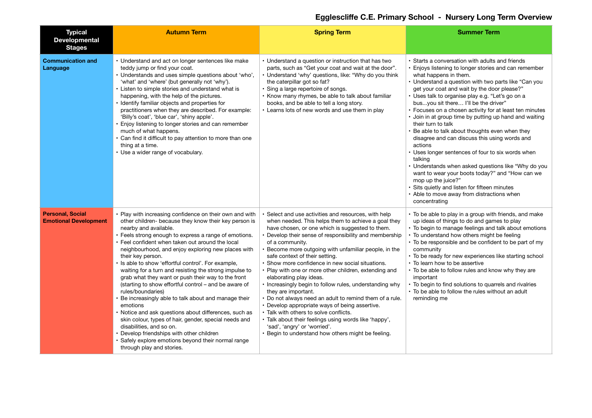| <b>Typical</b><br><b>Developmental</b><br><b>Stages</b> | <b>Autumn Term</b>                                                                                                                                                                                                                                                                                                                                                                                                                                                                                                                                                                                                                                                                                                                                                                                                                                                                                                                     | <b>Spring Term</b>                                                                                                                                                                                                                                                                                                                                                                                                                                                                                                                                                                                                                                                                                                                                                                                                                                               | <b>Summer Term</b>                                                                                                                                                                                                                                                                                                                                                                                                                                                                                                                                                                                                                                                                                                                                                                                                                                                                                           |
|---------------------------------------------------------|----------------------------------------------------------------------------------------------------------------------------------------------------------------------------------------------------------------------------------------------------------------------------------------------------------------------------------------------------------------------------------------------------------------------------------------------------------------------------------------------------------------------------------------------------------------------------------------------------------------------------------------------------------------------------------------------------------------------------------------------------------------------------------------------------------------------------------------------------------------------------------------------------------------------------------------|------------------------------------------------------------------------------------------------------------------------------------------------------------------------------------------------------------------------------------------------------------------------------------------------------------------------------------------------------------------------------------------------------------------------------------------------------------------------------------------------------------------------------------------------------------------------------------------------------------------------------------------------------------------------------------------------------------------------------------------------------------------------------------------------------------------------------------------------------------------|--------------------------------------------------------------------------------------------------------------------------------------------------------------------------------------------------------------------------------------------------------------------------------------------------------------------------------------------------------------------------------------------------------------------------------------------------------------------------------------------------------------------------------------------------------------------------------------------------------------------------------------------------------------------------------------------------------------------------------------------------------------------------------------------------------------------------------------------------------------------------------------------------------------|
| <b>Communication and</b><br>Language                    | • Understand and act on longer sentences like make<br>teddy jump or find your coat.<br>· Understands and uses simple questions about 'who',<br>'what' and 'where' (but generally not 'why').<br>• Listen to simple stories and understand what is<br>happening, with the help of the pictures.<br>Identify familiar objects and properties for<br>practitioners when they are described. For example:<br>'Billy's coat', 'blue car', 'shiny apple'.<br>Enjoy listening to longer stories and can remember<br>much of what happens.<br>Can find it difficult to pay attention to more than one<br>thing at a time.<br>• Use a wider range of vocabulary.                                                                                                                                                                                                                                                                                | • Understand a question or instruction that has two<br>parts, such as "Get your coat and wait at the door".<br>· Understand 'why' questions, like: "Why do you think<br>the caterpillar got so fat?<br>· Sing a large repertoire of songs.<br>• Know many rhymes, be able to talk about familiar<br>books, and be able to tell a long story.<br>• Learns lots of new words and use them in play                                                                                                                                                                                                                                                                                                                                                                                                                                                                  | • Starts a conversation with adults and friends<br>• Enjoys listening to longer stories and can remember<br>what happens in them.<br>• Understand a question with two parts like "Can you<br>get your coat and wait by the door please?"<br>· Uses talk to organise play e.g. "Let's go on a<br>busyou sit there I'll be the driver"<br>• Focuses on a chosen activity for at least ten minutes<br>· Join in at group time by putting up hand and waiting<br>their turn to talk<br>Be able to talk about thoughts even when they<br>disagree and can discuss this using words and<br>actions<br>• Uses longer sentences of four to six words when<br>talking<br>• Understands when asked questions like "Why do you<br>want to wear your boots today?" and "How can we<br>mop up the juice?"<br>• Sits quietly and listen for fifteen minutes<br>• Able to move away from distractions when<br>concentrating |
| <b>Personal, Social</b><br><b>Emotional Development</b> | • Play with increasing confidence on their own and with<br>other children- because they know their key person is<br>nearby and available.<br>• Feels strong enough to express a range of emotions.<br>• Feel confident when taken out around the local<br>neighbourhood, and enjoy exploring new places with<br>their key person.<br>• Is able to show 'effortful control'. For example,<br>waiting for a turn and resisting the strong impulse to<br>grab what they want or push their way to the front<br>(starting to show effortful control – and be aware of<br>rules/boundaries)<br>Be increasingly able to talk about and manage their<br>emotions<br>· Notice and ask questions about differences, such as<br>skin colour, types of hair, gender, special needs and<br>disabilities, and so on.<br>• Develop friendships with other children<br>Safely explore emotions beyond their normal range<br>through play and stories. | Select and use activities and resources, with help<br>when needed. This helps them to achieve a goal they<br>have chosen, or one which is suggested to them.<br>Develop their sense of responsibility and membership<br>of a community.<br>Become more outgoing with unfamiliar people, in the<br>safe context of their setting.<br>· Show more confidence in new social situations.<br>• Play with one or more other children, extending and<br>elaborating play ideas.<br>• Increasingly begin to follow rules, understanding why<br>they are important.<br>• Do not always need an adult to remind them of a rule.<br>• Develop appropriate ways of being assertive.<br>• Talk with others to solve conflicts.<br>• Talk about their feelings using words like 'happy',<br>'sad', 'angry' or 'worried'.<br>• Begin to understand how others might be feeling. | • To be able to play in a group with friends, and make<br>up ideas of things to do and games to play<br>• To begin to manage feelings and talk about emotions<br>• To understand how others might be feeling<br>• To be responsible and be confident to be part of my<br>community<br>• To be ready for new experiences like starting school<br>• To learn how to be assertive<br>• To be able to follow rules and know why they are<br>important<br>• To begin to find solutions to guarrels and rivalries<br>• To be able to follow the rules without an adult<br>reminding me                                                                                                                                                                                                                                                                                                                             |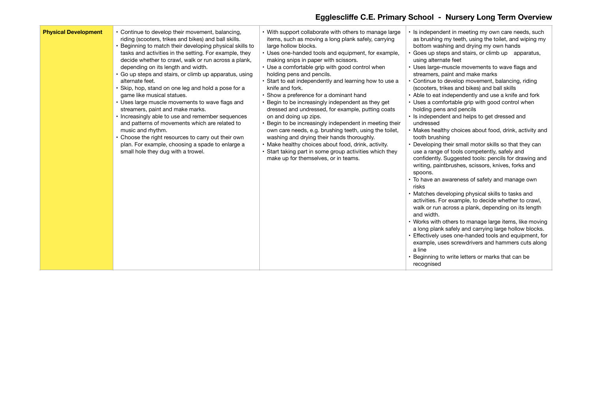| <b>Physical Development</b> | • Continue to develop their movement, balancing,<br>riding (scooters, trikes and bikes) and ball skills.<br>Beginning to match their developing physical skills to<br>tasks and activities in the setting. For example, they<br>decide whether to crawl, walk or run across a plank,<br>depending on its length and width.<br>· Go up steps and stairs, or climb up apparatus, using<br>alternate feet.<br>Skip, hop, stand on one leg and hold a pose for a<br>game like musical statues.<br>• Uses large muscle movements to wave flags and<br>streamers, paint and make marks.<br>• Increasingly able to use and remember sequences<br>and patterns of movements which are related to<br>music and rhythm.<br>• Choose the right resources to carry out their own<br>plan. For example, choosing a spade to enlarge a<br>small hole they dug with a trowel. | • With support collaborate with others to manage large<br>items, such as moving a long plank safely, carrying<br>large hollow blocks.<br>• Uses one-handed tools and equipment, for example,<br>making snips in paper with scissors.<br>• Use a comfortable grip with good control when<br>holding pens and pencils.<br>• Start to eat independently and learning how to use a<br>knife and fork.<br>· Show a preference for a dominant hand<br>• Begin to be increasingly independent as they get<br>dressed and undressed, for example, putting coats<br>on and doing up zips.<br>• Begin to be increasingly independent in meeting their<br>own care needs, e.g. brushing teeth, using the toilet,<br>washing and drying their hands thoroughly.<br>• Make healthy choices about food, drink, activity.<br>• Start taking part in some group activities which they<br>make up for themselves, or in teams. | • Is independent in meeting my own care needs, such<br>as brushing my teeth, using the toilet, and wiping my<br>bottom washing and drying my own hands<br>Goes up steps and stairs, or climb up apparatus,<br>using alternate feet<br>• Uses large-muscle movements to wave flags and<br>streamers, paint and make marks<br>• Continue to develop movement, balancing, riding<br>(scooters, trikes and bikes) and ball skills<br>• Able to eat independently and use a knife and fork<br>• Uses a comfortable grip with good control when<br>holding pens and pencils<br>• Is independent and helps to get dressed and<br>undressed<br>• Makes healthy choices about food, drink, activity and<br>tooth brushing<br>• Developing their small motor skills so that they can<br>use a range of tools competently, safely and<br>confidently. Suggested tools: pencils for drawing and<br>writing, paintbrushes, scissors, knives, forks and<br>spoons.<br>• To have an awareness of safety and manage own<br>risks<br>• Matches developing physical skills to tasks and<br>activities. For example, to decide whether to crawl,<br>walk or run across a plank, depending on its length<br>and width.<br>• Works with others to manage large items, like moving<br>a long plank safely and carrying large hollow blocks.<br>• Effectively uses one-handed tools and equipment, for<br>example, uses screwdrivers and hammers cuts along<br>a line<br>Beginning to write letters or marks that can be<br>recognised |
|-----------------------------|----------------------------------------------------------------------------------------------------------------------------------------------------------------------------------------------------------------------------------------------------------------------------------------------------------------------------------------------------------------------------------------------------------------------------------------------------------------------------------------------------------------------------------------------------------------------------------------------------------------------------------------------------------------------------------------------------------------------------------------------------------------------------------------------------------------------------------------------------------------|---------------------------------------------------------------------------------------------------------------------------------------------------------------------------------------------------------------------------------------------------------------------------------------------------------------------------------------------------------------------------------------------------------------------------------------------------------------------------------------------------------------------------------------------------------------------------------------------------------------------------------------------------------------------------------------------------------------------------------------------------------------------------------------------------------------------------------------------------------------------------------------------------------------|-----------------------------------------------------------------------------------------------------------------------------------------------------------------------------------------------------------------------------------------------------------------------------------------------------------------------------------------------------------------------------------------------------------------------------------------------------------------------------------------------------------------------------------------------------------------------------------------------------------------------------------------------------------------------------------------------------------------------------------------------------------------------------------------------------------------------------------------------------------------------------------------------------------------------------------------------------------------------------------------------------------------------------------------------------------------------------------------------------------------------------------------------------------------------------------------------------------------------------------------------------------------------------------------------------------------------------------------------------------------------------------------------------------------------------------------------------------------------------------------------------------------|
|-----------------------------|----------------------------------------------------------------------------------------------------------------------------------------------------------------------------------------------------------------------------------------------------------------------------------------------------------------------------------------------------------------------------------------------------------------------------------------------------------------------------------------------------------------------------------------------------------------------------------------------------------------------------------------------------------------------------------------------------------------------------------------------------------------------------------------------------------------------------------------------------------------|---------------------------------------------------------------------------------------------------------------------------------------------------------------------------------------------------------------------------------------------------------------------------------------------------------------------------------------------------------------------------------------------------------------------------------------------------------------------------------------------------------------------------------------------------------------------------------------------------------------------------------------------------------------------------------------------------------------------------------------------------------------------------------------------------------------------------------------------------------------------------------------------------------------|-----------------------------------------------------------------------------------------------------------------------------------------------------------------------------------------------------------------------------------------------------------------------------------------------------------------------------------------------------------------------------------------------------------------------------------------------------------------------------------------------------------------------------------------------------------------------------------------------------------------------------------------------------------------------------------------------------------------------------------------------------------------------------------------------------------------------------------------------------------------------------------------------------------------------------------------------------------------------------------------------------------------------------------------------------------------------------------------------------------------------------------------------------------------------------------------------------------------------------------------------------------------------------------------------------------------------------------------------------------------------------------------------------------------------------------------------------------------------------------------------------------------|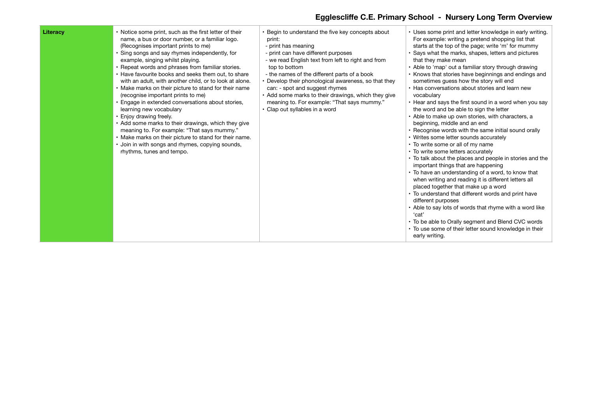| Literacv | • Notice some print, such as the first letter of their<br>name, a bus or door number, or a familiar logo.<br>(Recognises important prints to me)<br>• Sing songs and say rhymes independently, for<br>example, singing whilst playing.<br>• Repeat words and phrases from familiar stories.<br>• Have favourite books and seeks them out, to share<br>with an adult, with another child, or to look at alone.<br>• Make marks on their picture to stand for their name<br>(recognise important prints to me)<br>• Engage in extended conversations about stories,<br>learning new vocabulary<br>• Enjoy drawing freely.<br>• Add some marks to their drawings, which they give<br>meaning to. For example: "That says mummy."<br>• Make marks on their picture to stand for their name.<br>· Join in with songs and rhymes, copying sounds,<br>rhythms, tunes and tempo. | • Begin to understand the five key concepts about<br>print:<br>- print has meaning<br>- print can have different purposes<br>- we read English text from left to right and from<br>top to bottom<br>- the names of the different parts of a book<br>• Develop their phonological awareness, so that they<br>can: - spot and suggest rhymes<br>• Add some marks to their drawings, which they give<br>meaning to. For example: "That says mummy."<br>• Clap out syllables in a word | • Uses some print and letter knowledge in early writing.<br>For example: writing a pretend shopping list that<br>starts at the top of the page; write 'm' for mummy<br>• Says what the marks, shapes, letters and pictures<br>that they make mean<br>• Able to 'map' out a familiar story through drawing<br>• Knows that stories have beginnings and endings and<br>sometimes guess how the story will end<br>• Has conversations about stories and learn new<br>vocabulary<br>• Hear and says the first sound in a word when you say<br>the word and be able to sign the letter<br>• Able to make up own stories, with characters, a<br>beginning, middle and an end<br>• Recognise words with the same initial sound orally<br>• Writes some letter sounds accurately<br>• To write some or all of my name<br>• To write some letters accurately<br>• To talk about the places and people in stories and the<br>important things that are happening<br>• To have an understanding of a word, to know that<br>when writing and reading it is different letters all<br>placed together that make up a word<br>• To understand that different words and print have<br>different purposes<br>• Able to say lots of words that rhyme with a word like<br>'cat'<br>• To be able to Orally segment and Blend CVC words<br>• To use some of their letter sound knowledge in their<br>early writing. |
|----------|--------------------------------------------------------------------------------------------------------------------------------------------------------------------------------------------------------------------------------------------------------------------------------------------------------------------------------------------------------------------------------------------------------------------------------------------------------------------------------------------------------------------------------------------------------------------------------------------------------------------------------------------------------------------------------------------------------------------------------------------------------------------------------------------------------------------------------------------------------------------------|------------------------------------------------------------------------------------------------------------------------------------------------------------------------------------------------------------------------------------------------------------------------------------------------------------------------------------------------------------------------------------------------------------------------------------------------------------------------------------|------------------------------------------------------------------------------------------------------------------------------------------------------------------------------------------------------------------------------------------------------------------------------------------------------------------------------------------------------------------------------------------------------------------------------------------------------------------------------------------------------------------------------------------------------------------------------------------------------------------------------------------------------------------------------------------------------------------------------------------------------------------------------------------------------------------------------------------------------------------------------------------------------------------------------------------------------------------------------------------------------------------------------------------------------------------------------------------------------------------------------------------------------------------------------------------------------------------------------------------------------------------------------------------------------------------------------------------------------------------------------------------------|
|----------|--------------------------------------------------------------------------------------------------------------------------------------------------------------------------------------------------------------------------------------------------------------------------------------------------------------------------------------------------------------------------------------------------------------------------------------------------------------------------------------------------------------------------------------------------------------------------------------------------------------------------------------------------------------------------------------------------------------------------------------------------------------------------------------------------------------------------------------------------------------------------|------------------------------------------------------------------------------------------------------------------------------------------------------------------------------------------------------------------------------------------------------------------------------------------------------------------------------------------------------------------------------------------------------------------------------------------------------------------------------------|------------------------------------------------------------------------------------------------------------------------------------------------------------------------------------------------------------------------------------------------------------------------------------------------------------------------------------------------------------------------------------------------------------------------------------------------------------------------------------------------------------------------------------------------------------------------------------------------------------------------------------------------------------------------------------------------------------------------------------------------------------------------------------------------------------------------------------------------------------------------------------------------------------------------------------------------------------------------------------------------------------------------------------------------------------------------------------------------------------------------------------------------------------------------------------------------------------------------------------------------------------------------------------------------------------------------------------------------------------------------------------------------|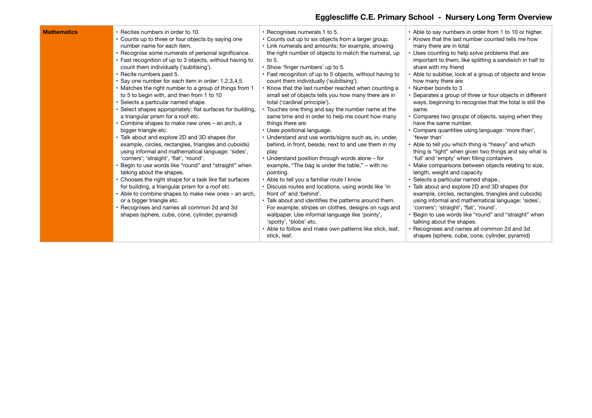| <b>Mathematics</b><br>• Recites numbers in order to 10.<br>• Counts up to three or four objects by saying one<br>number name for each item.<br>• Recognise some numerals of personal significance.<br>• Fast recognition of up to 3 objects, without having to<br>count them individually ('subitising').<br>· Recite numbers past 5.<br>Say one number for each item in order: 1,2,3,4,5.<br>• Matches the right number to a group of things from 1<br>to 5 to begin with, and then from 1 to 10<br>Selects a particular named shape.<br>• Select shapes appropriately: flat surfaces for building,<br>a triangular prism for a roof etc.<br>Combine shapes to make new ones - an arch, a<br>bigger triangle etc.<br>• Talk about and explore 2D and 3D shapes (for<br>example, circles, rectangles, triangles and cuboids)<br>using informal and mathematical language: 'sides',<br>'corners'; 'straight', 'flat', 'round'.<br>Begin to use words like "round" and "straight" when<br>talking about the shapes.<br>Chooses the right shape for a task like flat surfaces<br>for building, a triangular prism for a roof etc<br>• Able to combine shapes to make new ones – an arch,<br>or a bigger triangle etc.<br>Recognises and names all common 2d and 3d<br>shapes (sphere, cube, cone, cylinder, pyramid) | • Recognises numerals 1 to 5.<br>• Counts out up to six objects from a larger group.<br>• Link numerals and amounts: for example, showing<br>the right number of objects to match the numeral, up<br>to 5.<br>. Show 'finger numbers' up to 5.<br>• Fast recognition of up to 5 objects, without having to<br>count them individually ('subitising').<br>• Know that the last number reached when counting a<br>small set of objects tells you how many there are in<br>total ('cardinal principle').<br>• Touches one thing and say the number name at the<br>same time and in order to help me count how many<br>things there are<br>• Uses positional language.<br>• Understand and use words/signs such as, in, under,<br>behind, in front, beside, next to and use them in my<br>play<br>• Understand position through words alone - for<br>example, "The bag is under the table," – with no<br>pointing.<br>• Able to tell you a familiar route I know<br>• Discuss routes and locations, using words like 'in<br>front of' and 'behind'.<br>• Talk about and identifies the patterns around them.<br>For example: stripes on clothes, designs on rugs and<br>wallpaper. Use informal language like 'pointy',<br>'spotty', 'blobs' etc.<br>• Able to follow and make own patterns like stick, leaf,<br>stick, leaf. | • Able to say numbers in order from 1 to 10 or higher.<br>• Knows that the last number counted tells me how<br>many there are in total<br>• Uses counting to help solve problems that are<br>important to them, like splitting a sandwich in half to<br>share with my friend<br>Able to subitise, look at a group of objects and know<br>how many there are<br>• Number bonds to 3<br>• Separates a group of three or four objects in different<br>ways, beginning to recognise that the total is still the<br>same.<br>Compares two groups of objects, saying when they<br>have the same number.<br>• Compare quantities using language: 'more than',<br>'fewer than'<br>• Able to tell you which thing is "heavy" and which<br>thing is "light" when given two things and say what is<br>'full' and 'empty' when filling containers<br>• Make comparisons between objects relating to size,<br>length, weight and capacity<br>Selects a particular named shape<br>• Talk about and explore 2D and 3D shapes (for<br>example, circles, rectangles, triangles and cuboids)<br>using informal and mathematical language: 'sides',<br>'corners'; 'straight', 'flat', 'round'.<br>Begin to use words like "round" and "straight" when<br>talking about the shapes.<br>• Recognises and names all common 2d and 3d<br>shapes (sphere, cube, cone, cylinder, pyramid) |
|-------------------------------------------------------------------------------------------------------------------------------------------------------------------------------------------------------------------------------------------------------------------------------------------------------------------------------------------------------------------------------------------------------------------------------------------------------------------------------------------------------------------------------------------------------------------------------------------------------------------------------------------------------------------------------------------------------------------------------------------------------------------------------------------------------------------------------------------------------------------------------------------------------------------------------------------------------------------------------------------------------------------------------------------------------------------------------------------------------------------------------------------------------------------------------------------------------------------------------------------------------------------------------------------------------------------|---------------------------------------------------------------------------------------------------------------------------------------------------------------------------------------------------------------------------------------------------------------------------------------------------------------------------------------------------------------------------------------------------------------------------------------------------------------------------------------------------------------------------------------------------------------------------------------------------------------------------------------------------------------------------------------------------------------------------------------------------------------------------------------------------------------------------------------------------------------------------------------------------------------------------------------------------------------------------------------------------------------------------------------------------------------------------------------------------------------------------------------------------------------------------------------------------------------------------------------------------------------------------------------------------------------------------|------------------------------------------------------------------------------------------------------------------------------------------------------------------------------------------------------------------------------------------------------------------------------------------------------------------------------------------------------------------------------------------------------------------------------------------------------------------------------------------------------------------------------------------------------------------------------------------------------------------------------------------------------------------------------------------------------------------------------------------------------------------------------------------------------------------------------------------------------------------------------------------------------------------------------------------------------------------------------------------------------------------------------------------------------------------------------------------------------------------------------------------------------------------------------------------------------------------------------------------------------------------------------------------------------------------------------------------------------------------|
|-------------------------------------------------------------------------------------------------------------------------------------------------------------------------------------------------------------------------------------------------------------------------------------------------------------------------------------------------------------------------------------------------------------------------------------------------------------------------------------------------------------------------------------------------------------------------------------------------------------------------------------------------------------------------------------------------------------------------------------------------------------------------------------------------------------------------------------------------------------------------------------------------------------------------------------------------------------------------------------------------------------------------------------------------------------------------------------------------------------------------------------------------------------------------------------------------------------------------------------------------------------------------------------------------------------------|---------------------------------------------------------------------------------------------------------------------------------------------------------------------------------------------------------------------------------------------------------------------------------------------------------------------------------------------------------------------------------------------------------------------------------------------------------------------------------------------------------------------------------------------------------------------------------------------------------------------------------------------------------------------------------------------------------------------------------------------------------------------------------------------------------------------------------------------------------------------------------------------------------------------------------------------------------------------------------------------------------------------------------------------------------------------------------------------------------------------------------------------------------------------------------------------------------------------------------------------------------------------------------------------------------------------------|------------------------------------------------------------------------------------------------------------------------------------------------------------------------------------------------------------------------------------------------------------------------------------------------------------------------------------------------------------------------------------------------------------------------------------------------------------------------------------------------------------------------------------------------------------------------------------------------------------------------------------------------------------------------------------------------------------------------------------------------------------------------------------------------------------------------------------------------------------------------------------------------------------------------------------------------------------------------------------------------------------------------------------------------------------------------------------------------------------------------------------------------------------------------------------------------------------------------------------------------------------------------------------------------------------------------------------------------------------------|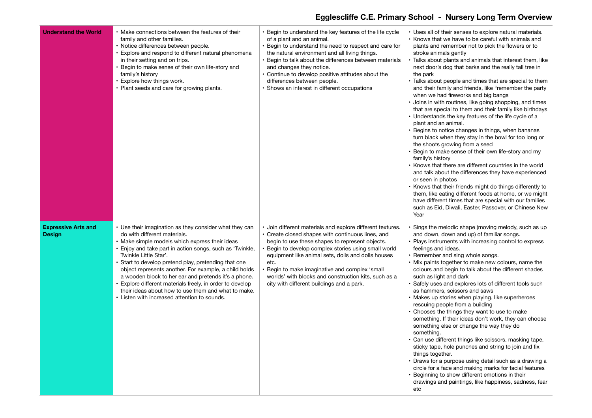| <b>Understand the World</b>                 | Make connections between the features of their<br>family and other families.<br>Notice differences between people.<br>Explore and respond to different natural phenomena<br>in their setting and on trips.<br>Begin to make sense of their own life-story and<br>family's history<br>Explore how things work.<br>Plant seeds and care for growing plants.                                                                                                                                                                                                      | • Begin to understand the key features of the life cycle<br>of a plant and an animal.<br>• Begin to understand the need to respect and care for<br>the natural environment and all living things.<br>· Begin to talk about the differences between materials<br>and changes they notice.<br>• Continue to develop positive attitudes about the<br>differences between people.<br>• Shows an interest in different occupations                 | • Uses all of their senses to explore natural materials.<br>• Knows that we have to be careful with animals and<br>plants and remember not to pick the flowers or to<br>stroke animals gently<br>Talks about plants and animals that interest them, like<br>next door's dog that barks and the really tall tree in<br>the park<br>Talks about people and times that are special to them<br>and their family and friends, like "remember the party<br>when we had fireworks and big bangs<br>· Joins in with routines, like going shopping, and times<br>that are special to them and their family like birthdays<br>• Understands the key features of the life cycle of a<br>plant and an animal.<br>• Begins to notice changes in things, when bananas<br>turn black when they stay in the bowl for too long or<br>the shoots growing from a seed<br>Begin to make sense of their own life-story and my<br>family's history<br>Knows that there are different countries in the world<br>and talk about the differences they have experienced<br>or seen in photos<br>Knows that their friends might do things differently to<br>them, like eating different foods at home, or we might<br>have different times that are special with our families<br>such as Eid, Diwali, Easter, Passover, or Chinese New<br>Year |
|---------------------------------------------|----------------------------------------------------------------------------------------------------------------------------------------------------------------------------------------------------------------------------------------------------------------------------------------------------------------------------------------------------------------------------------------------------------------------------------------------------------------------------------------------------------------------------------------------------------------|-----------------------------------------------------------------------------------------------------------------------------------------------------------------------------------------------------------------------------------------------------------------------------------------------------------------------------------------------------------------------------------------------------------------------------------------------|---------------------------------------------------------------------------------------------------------------------------------------------------------------------------------------------------------------------------------------------------------------------------------------------------------------------------------------------------------------------------------------------------------------------------------------------------------------------------------------------------------------------------------------------------------------------------------------------------------------------------------------------------------------------------------------------------------------------------------------------------------------------------------------------------------------------------------------------------------------------------------------------------------------------------------------------------------------------------------------------------------------------------------------------------------------------------------------------------------------------------------------------------------------------------------------------------------------------------------------------------------------------------------------------------------------------|
| <b>Expressive Arts and</b><br><b>Design</b> | Use their imagination as they consider what they can<br>do with different materials.<br>Make simple models which express their ideas<br>Enjoy and take part in action songs, such as 'Twinkle,<br>Twinkle Little Star'.<br>Start to develop pretend play, pretending that one<br>object represents another. For example, a child holds<br>a wooden block to her ear and pretends it's a phone.<br>Explore different materials freely, in order to develop<br>their ideas about how to use them and what to make.<br>Listen with increased attention to sounds. | · Join different materials and explore different textures.<br>• Create closed shapes with continuous lines, and<br>begin to use these shapes to represent objects.<br>· Begin to develop complex stories using small world<br>equipment like animal sets, dolls and dolls houses<br>etc.<br>Begin to make imaginative and complex 'small<br>worlds' with blocks and construction kits, such as a<br>city with different buildings and a park. | Sings the melodic shape (moving melody, such as up<br>and down, down and up) of familiar songs.<br>• Plays instruments with increasing control to express<br>feelings and ideas.<br>• Remember and sing whole songs.<br>• Mix paints together to make new colours, name the<br>colours and begin to talk about the different shades<br>such as light and dark<br>Safely uses and explores lots of different tools such<br>as hammers, scissors and saws<br>• Makes up stories when playing, like superheroes<br>rescuing people from a building<br>• Chooses the things they want to use to make<br>something. If their ideas don't work, they can choose<br>something else or change the way they do<br>something.<br>· Can use different things like scissors, masking tape,<br>sticky tape, hole punches and string to join and fix<br>things together.<br>• Draws for a purpose using detail such as a drawing a<br>circle for a face and making marks for facial features<br>Beginning to show different emotions in their<br>drawings and paintings, like happiness, sadness, fear<br>etc                                                                                                                                                                                                                     |